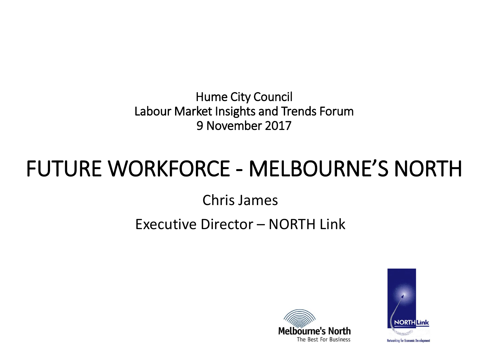Hume City Council Labour Market Insights and Trends Forum 9 November 2017

#### FUTURE WORKFORCE - MELBOURNE'S NORTH

Chris James

#### Executive Director – NORTH Link



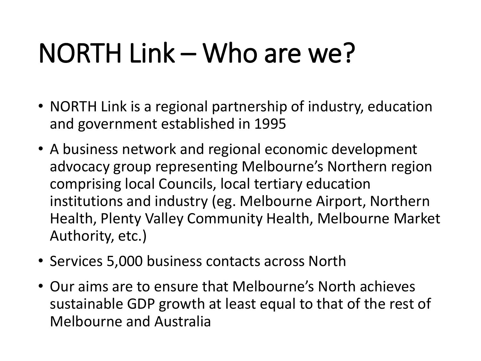## NORTH Link – Who are we?

- NORTH Link is a regional partnership of industry, education and government established in 1995
- A business network and regional economic development advocacy group representing Melbourne's Northern region comprising local Councils, local tertiary education institutions and industry (eg. Melbourne Airport, Northern Health, Plenty Valley Community Health, Melbourne Market Authority, etc.)
- Services 5,000 business contacts across North
- Our aims are to ensure that Melbourne's North achieves sustainable GDP growth at least equal to that of the rest of Melbourne and Australia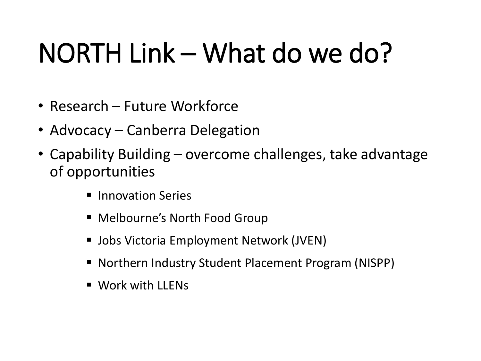# NORTH Link – What do we do?

- Research Future Workforce
- Advocacy Canberra Delegation
- Capability Building overcome challenges, take advantage of opportunities
	- **Innovation Series**
	- Melbourne's North Food Group
	- Jobs Victoria Employment Network (JVEN)
	- Northern Industry Student Placement Program (NISPP)
	- Work with LLENs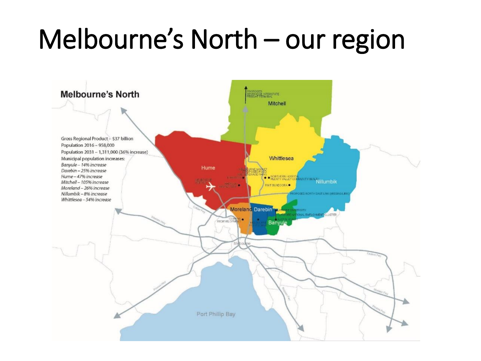## Melbourne's North – our region

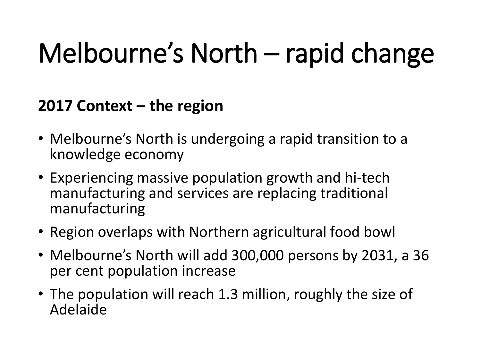# Melbourne's North – rapid change

**2017 Context – the region**

- Melbourne's North is undergoing a rapid transition to a knowledge economy
- Experiencing massive population growth and hi-tech manufacturing and services are replacing traditional manufacturing
- Region overlaps with Northern agricultural food bowl
- Melbourne's North will add 300,000 persons by 2031, a 36 per cent population increase
- The population will reach 1.3 million, roughly the size of Adelaide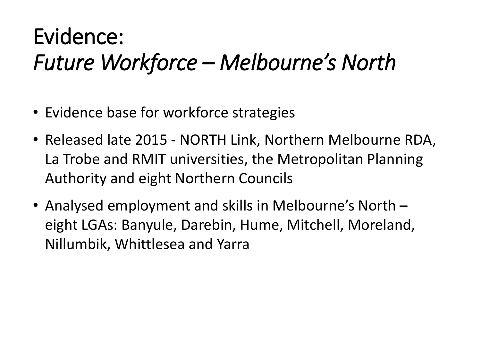- Evidence base for workforce strategies
- Released late 2015 NORTH Link, Northern Melbourne RDA, La Trobe and RMIT universities, the Metropolitan Planning Authority and eight Northern Councils
- Analysed employment and skills in Melbourne's North eight LGAs: Banyule, Darebin, Hume, Mitchell, Moreland, Nillumbik, Whittlesea and Yarra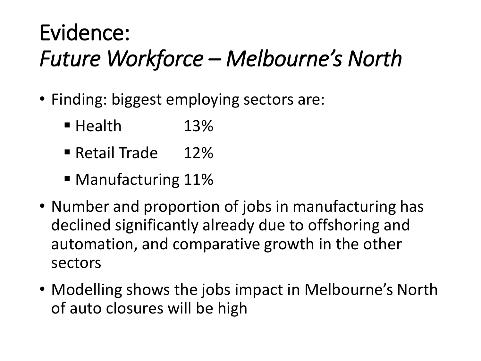- $\ddot{\phantom{0}}$ • Finding: biggest employing sectors are:
	- Health 13%
	- Retail Trade 12%
	- Manufacturing 11%
- Number and proportion of jobs in manufacturing has declined significantly already due to offshoring and automation, and comparative growth in the other sectors
- Modelling shows the jobs impact in Melbourne's North of auto closures will be high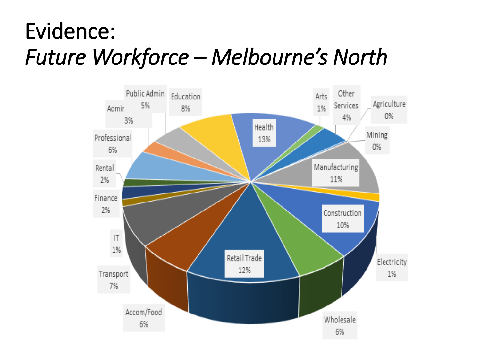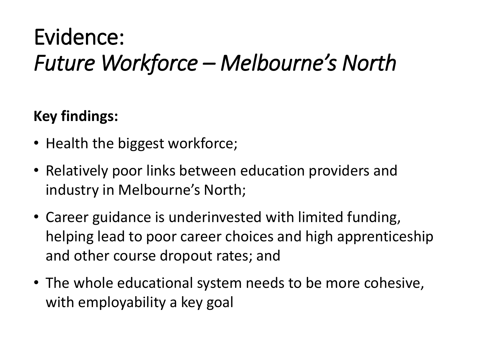**Key findings:**

- Health the biggest workforce;
- Relatively poor links between education providers and industry in Melbourne's North;
- Career guidance is underinvested with limited funding, helping lead to poor career choices and high apprenticeship and other course dropout rates; and
- The whole educational system needs to be more cohesive, with employability a key goal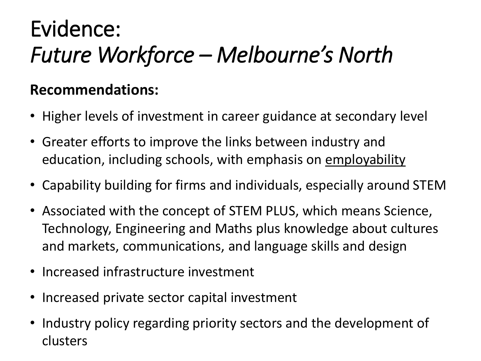#### **Recommendations:**

- Higher levels of investment in career guidance at secondary level
- Greater efforts to improve the links between industry and education, including schools, with emphasis on employability
- Capability building for firms and individuals, especially around STEM
- Associated with the concept of STEM PLUS, which means Science, Technology, Engineering and Maths plus knowledge about cultures and markets, communications, and language skills and design
- Increased infrastructure investment
- Increased private sector capital investment
- Industry policy regarding priority sectors and the development of clusters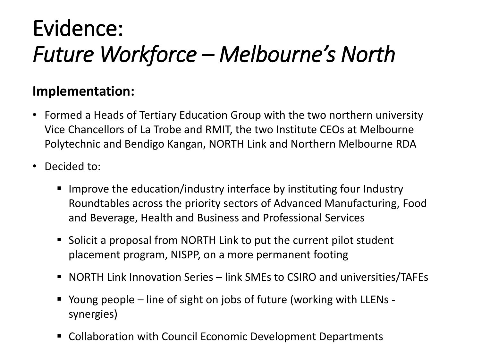## **Implementation:**

- Formed a Heads of Tertiary Education Group with the two northern university Vice Chancellors of La Trobe and RMIT, the two Institute CEOs at Melbourne Polytechnic and Bendigo Kangan, NORTH Link and Northern Melbourne RDA
- Decided to:
	- Improve the education/industry interface by instituting four Industry Roundtables across the priority sectors of Advanced Manufacturing, Food and Beverage, Health and Business and Professional Services
	- Solicit a proposal from NORTH Link to put the current pilot student placement program, NISPP, on a more permanent footing
	- NORTH Link Innovation Series link SMEs to CSIRO and universities/TAFEs
	- Young people line of sight on jobs of future (working with LLENs synergies)
	- Collaboration with Council Economic Development Departments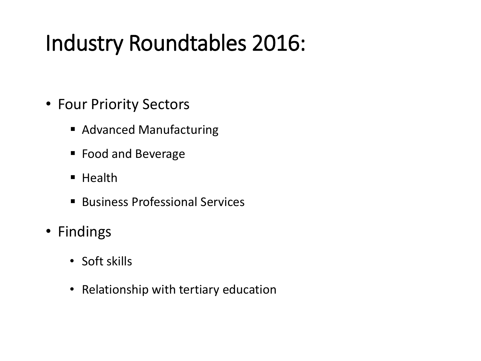### Industry Roundtables 2016:

- Four Priority Sectors
	- Advanced Manufacturing
	- **Food and Beverage**
	- $H$  Health
	- Business Professional Services
- Findings
	- Soft skills
	- Relationship with tertiary education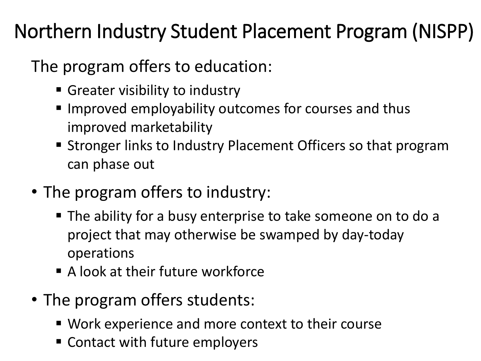#### Northern Industry Student Placement Program (NISPP)

The program offers to education:

- Greater visibility to industry
- **IMPROVED EMPLOYABILITY OUTCOMES FOR COUTSES AND THUS** improved marketability
- Stronger links to Industry Placement Officers so that program can phase out
- The program offers to industry:
	- The ability for a busy enterprise to take someone on to do a project that may otherwise be swamped by day-today operations
	- A look at their future workforce
- The program offers students:
	- Work experience and more context to their course
	- **EX Contact with future employers**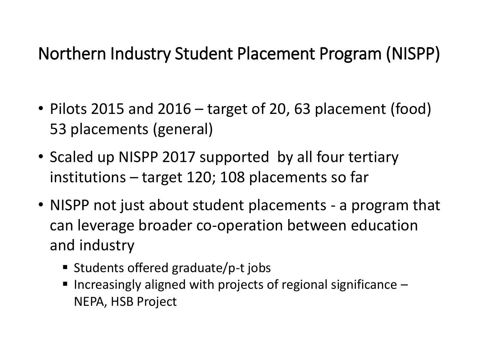#### Northern Industry Student Placement Program (NISPP)

- Pilots 2015 and 2016 target of 20, 63 placement (food) 53 placements (general)
- Scaled up NISPP 2017 supported by all four tertiary institutions – target 120; 108 placements so far
- NISPP not just about student placements a program that can leverage broader co-operation between education and industry
	- Students offered graduate/p-t jobs
	- Increasingly aligned with projects of regional significance  $-$ NEPA, HSB Project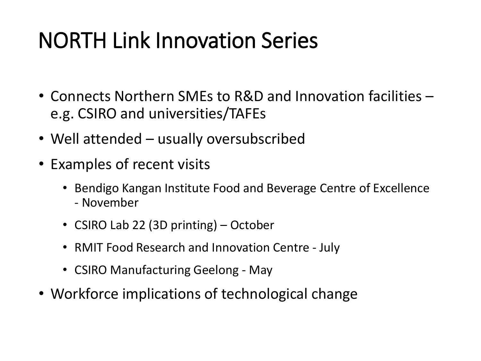### NORTH Link Innovation Series

- Connects Northern SMEs to R&D and Innovation facilities e.g. CSIRO and universities/TAFEs
- Well attended usually oversubscribed
- Examples of recent visits
	- Bendigo Kangan Institute Food and Beverage Centre of Excellence - November
	- CSIRO Lab 22 (3D printing) October
	- RMIT Food Research and Innovation Centre July
	- CSIRO Manufacturing Geelong May
- Workforce implications of technological change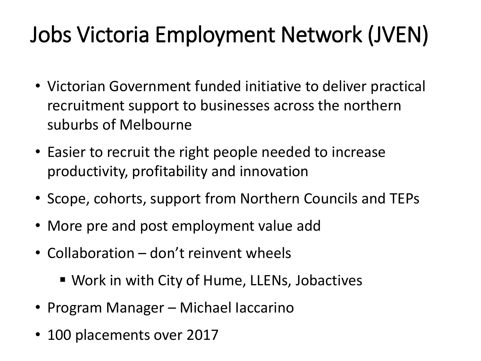## Jobs Victoria Employment Network (JVEN)

- Victorian Government funded initiative to deliver practical recruitment support to businesses across the northern suburbs of Melbourne
- Easier to recruit the right people needed to increase productivity, profitability and innovation
- Scope, cohorts, support from Northern Councils and TEPs
- More pre and post employment value add
- Collaboration don't reinvent wheels
	- Work in with City of Hume, LLENs, Jobactives
- Program Manager Michael Iaccarino
- 100 placements over 2017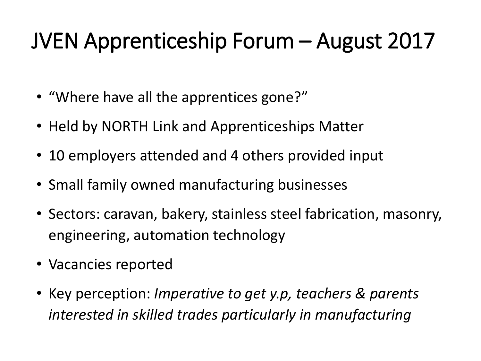#### JVEN Apprenticeship Forum – August 2017

- "Where have all the apprentices gone?"
- Held by NORTH Link and Apprenticeships Matter
- 10 employers attended and 4 others provided input
- Small family owned manufacturing businesses
- Sectors: caravan, bakery, stainless steel fabrication, masonry, engineering, automation technology
- Vacancies reported
- Key perception: *Imperative to get y.p, teachers & parents interested in skilled trades particularly in manufacturing*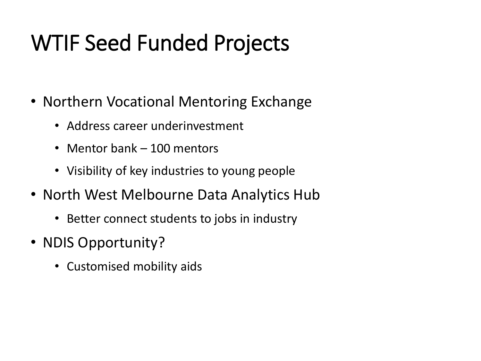### WTIF Seed Funded Projects

- Northern Vocational Mentoring Exchange
	- Address career underinvestment
	- Mentor bank 100 mentors
	- Visibility of key industries to young people
- North West Melbourne Data Analytics Hub
	- Better connect students to jobs in industry
- NDIS Opportunity?
	- Customised mobility aids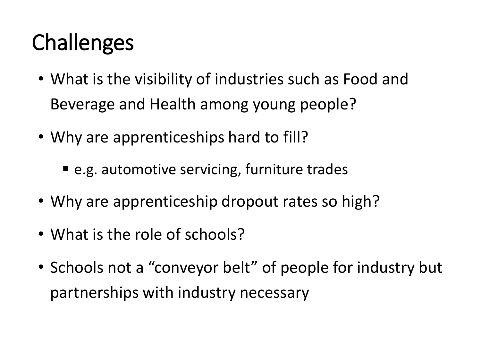### **Challenges**

- What is the visibility of industries such as Food and Beverage and Health among young people?
- Why are apprenticeships hard to fill?
	- e.g. automotive servicing, furniture trades
- Why are apprenticeship dropout rates so high?
- What is the role of schools?
- Schools not a "conveyor belt" of people for industry but partnerships with industry necessary